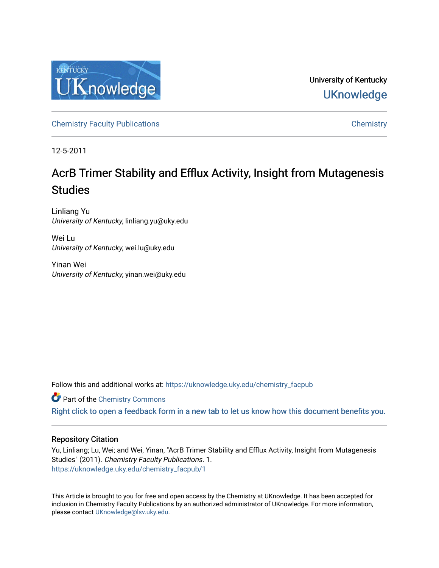

University of Kentucky **UKnowledge** 

[Chemistry Faculty Publications](https://uknowledge.uky.edu/chemistry_facpub) **Chemistry** Chemistry

12-5-2011

# AcrB Trimer Stability and Efflux Activity, Insight from Mutagenesis **Studies**

Linliang Yu University of Kentucky, linliang.yu@uky.edu

Wei Lu University of Kentucky, wei.lu@uky.edu

Yinan Wei University of Kentucky, yinan.wei@uky.edu

Follow this and additional works at: [https://uknowledge.uky.edu/chemistry\\_facpub](https://uknowledge.uky.edu/chemistry_facpub?utm_source=uknowledge.uky.edu%2Fchemistry_facpub%2F1&utm_medium=PDF&utm_campaign=PDFCoverPages) 

**C** Part of the Chemistry Commons

[Right click to open a feedback form in a new tab to let us know how this document benefits you.](https://uky.az1.qualtrics.com/jfe/form/SV_9mq8fx2GnONRfz7)

# Repository Citation

Yu, Linliang; Lu, Wei; and Wei, Yinan, "AcrB Trimer Stability and Efflux Activity, Insight from Mutagenesis Studies" (2011). Chemistry Faculty Publications. 1. [https://uknowledge.uky.edu/chemistry\\_facpub/1](https://uknowledge.uky.edu/chemistry_facpub/1?utm_source=uknowledge.uky.edu%2Fchemistry_facpub%2F1&utm_medium=PDF&utm_campaign=PDFCoverPages) 

This Article is brought to you for free and open access by the Chemistry at UKnowledge. It has been accepted for inclusion in Chemistry Faculty Publications by an authorized administrator of UKnowledge. For more information, please contact [UKnowledge@lsv.uky.edu.](mailto:UKnowledge@lsv.uky.edu)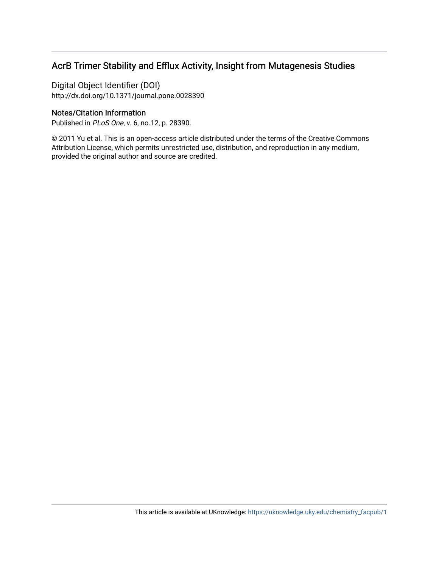# AcrB Trimer Stability and Efflux Activity, Insight from Mutagenesis Studies

Digital Object Identifier (DOI) http://dx.doi.org/10.1371/journal.pone.0028390

# Notes/Citation Information

Published in PLoS One, v. 6, no.12, p. 28390.

© 2011 Yu et al. This is an open-access article distributed under the terms of the Creative Commons Attribution License, which permits unrestricted use, distribution, and reproduction in any medium, provided the original author and source are credited.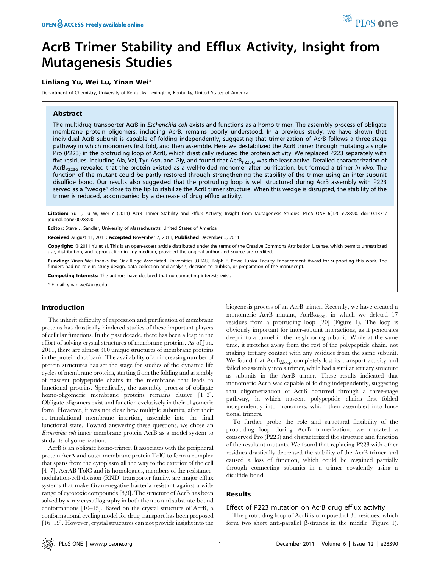# AcrB Trimer Stability and Efflux Activity, Insight from Mutagenesis Studies

# Linliang Yu, Wei Lu, Yinan Wei\*

Department of Chemistry, University of Kentucky, Lexington, Kentucky, United States of America

# Abstract

The multidrug transporter AcrB in Escherichia coli exists and functions as a homo-trimer. The assembly process of obligate membrane protein oligomers, including AcrB, remains poorly understood. In a previous study, we have shown that individual AcrB subunit is capable of folding independently, suggesting that trimerization of AcrB follows a three-stage pathway in which monomers first fold, and then assemble. Here we destabilized the AcrB trimer through mutating a single Pro (P223) in the protruding loop of AcrB, which drastically reduced the protein activity. We replaced P223 separately with five residues, including Ala, Val, Tyr, Asn, and Gly, and found that  $Acrb_{P223G}$  was the least active. Detailed characterization of  $AcrB_{P223G}$  revealed that the protein existed as a well-folded monomer after purification, but formed a trimer in vivo. The function of the mutant could be partly restored through strengthening the stability of the trimer using an inter-subunit disulfide bond. Our results also suggested that the protruding loop is well structured during AcrB assembly with P223 served as a ''wedge'' close to the tip to stabilize the AcrB trimer structure. When this wedge is disrupted, the stability of the trimer is reduced, accompanied by a decrease of drug efflux activity.

Citation: Yu L, Lu W, Wei Y (2011) AcrB Trimer Stability and Efflux Activity, Insight from Mutagenesis Studies. PLoS ONE 6(12): e28390. doi:10.1371/ journal.pone.0028390

Editor: Steve J. Sandler, University of Massachusetts, United States of America

Received August 11, 2011; Accepted November 7, 2011; Published December 5, 2011

Copyright: © 2011 Yu et al. This is an open-access article distributed under the terms of the Creative Commons Attribution License, which permits unrestricted use, distribution, and reproduction in any medium, provided the original author and source are credited.

Funding: Yinan Wei thanks the Oak Ridge Associated Universities (ORAU) Ralph E. Powe Junior Faculty Enhancement Award for supporting this work. The funders had no role in study design, data collection and analysis, decision to publish, or preparation of the manuscript.

Competing Interests: The authors have declared that no competing interests exist.

\* E-mail: yinan.wei@uky.edu

## Introduction

The inherit difficulty of expression and purification of membrane proteins has drastically hindered studies of these important players of cellular functions. In the past decade, there has been a leap in the effort of solving crystal structures of membrane proteins. As of Jun. 2011, there are almost 300 unique structures of membrane proteins in the protein data bank. The availability of an increasing number of protein structures has set the stage for studies of the dynamic life cycles of membrane proteins, starting from the folding and assembly of nascent polypeptide chains in the membrane that leads to functional proteins. Specifically, the assembly process of obligate homo-oligomeric membrane proteins remains elusive [1–3]. Obligate oligomers exist and function exclusively in their oligomeric form. However, it was not clear how multiple subunits, after their co-translational membrane insertion, assemble into the final functional state. Toward answering these questions, we chose an Escherichia coli inner membrane protein AcrB as a model system to study its oligomerization.

AcrB is an obligate homo-trimer. It associates with the peripheral protein AcrA and outer membrane protein TolC to form a complex that spans from the cytoplasm all the way to the exterior of the cell [4–7]. AcrAB-TolC and its homologues, members of the resistancenodulation-cell division (RND) transporter family, are major efflux systems that make Gram-negative bacteria resistant against a wide range of cytotoxic compounds [8,9]. The structure of AcrB has been solved by x-ray crystallography in both the apo and substrate-bound conformations [10–15]. Based on the crystal structure of AcrB, a conformational cycling model for drug transport has been proposed [16–19]. However, crystal structures can not provide insight into the biogenesis process of an AcrB trimer. Recently, we have created a monomeric AcrB mutant,  $AcrB_{\Delta loop}$ , in which we deleted 17 residues from a protruding loop [20] (Figure 1). The loop is obviously important for inter-subunit interactions, as it penetrates deep into a tunnel in the neighboring subunit. While at the same time, it stretches away from the rest of the polypeptide chain, not making tertiary contact with any residues from the same subunit. We found that  $\text{AcrB}_{\Delta\text{loop}}$  completely lost its transport activity and failed to assembly into a trimer, while had a similar tertiary structure as subunits in the AcrB trimer. These results indicated that monomeric AcrB was capable of folding independently, suggesting that oligomerization of AcrB occurred through a three-stage pathway, in which nascent polypeptide chains first folded independently into monomers, which then assembled into functional trimers.

To further probe the role and structural flexibility of the protruding loop during AcrB trimerization, we mutated a conserved Pro (P223) and characterized the structure and function of the resultant mutants. We found that replacing P223 with other residues drastically decreased the stability of the AcrB trimer and caused a loss of function, which could be regained partially through connecting subunits in a trimer covalently using a disulfide bond.

### Results

#### Effect of P223 mutation on AcrB drug efflux activity

The protruding loop of AcrB is composed of 30 residues, which form two short anti-parallel  $\beta$ -strands in the middle (Figure 1).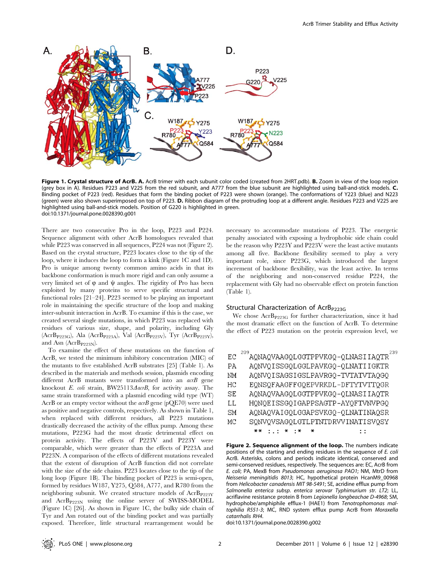

Figure 1. Crystal structure of AcrB. A. AcrB trimer with each subunit color coded (created from 2HRT.pdb). B. Zoom in view of the loop region (grey box in A). Residues P223 and V225 from the red subunit, and A777 from the blue subunit are highlighted using ball-and-stick models. C. Binding pocket of P223 (red). Residues that form the binding pocket of P223 were shown (orange). The conformations of Y223 (blue) and N223 (green) were also shown superimposed on top of P223. D. Ribbon diagram of the protruding loop at a different angle. Residues P223 and V225 are highlighted using ball-and-stick models. Position of G220 is highlighted in green. doi:10.1371/journal.pone.0028390.g001

There are two consecutive Pro in the loop, P223 and P224. Sequence alignment with other AcrB homologues revealed that while P223 was conserved in all sequences, P224 was not (Figure 2). Based on the crystal structure, P223 locates close to the tip of the loop, where it induces the loop to form a kink (Figure 1C and 1D). Pro is unique among twenty common amino acids in that its backbone conformation is much more rigid and can only assume a very limited set of  $\varphi$  and  $\psi$  angles. The rigidity of Pro has been exploited by many proteins to serve specific structural and functional roles [21–24]. P223 seemed to be playing an important role in maintaining the specific structure of the loop and making inter-subunit interaction in AcrB. To examine if this is the case, we created several single mutations, in which P223 was replaced with residues of various size, shape, and polarity, including Gly (AcrBP223G), Ala (AcrBP223A), Val (AcrBP223V), Tyr (AcrBP223Y), and Asn  $(AcrB_{P223N}).$ 

To examine the effect of these mutations on the function of AcrB, we tested the minimum inhibitory concentration (MIC) of the mutants to five established AcrB substrates [25] (Table 1). As described in the materials and methods session, plasmids encoding different AcrB mutants were transformed into an acrB gene knockout E. coli strain, BW25113 $\triangle$ acrB, for activity assay. The same strain transformed with a plasmid encoding wild type (WT) AcrB or an empty vector without the  $acrB$  gene (pQE70) were used as positive and negative controls, respectively. As shown in Table 1, when replaced with different residues, all P223 mutations drastically decreased the activity of the efflux pump. Among these mutations, P223G had the most drastic detrimental effect on protein activity. The effects of P223V and P223Y were comparable, which were greater than the effects of P223A and P223N. A comparison of the effects of different mutations revealed that the extent of disruption of AcrB function did not correlate with the size of the side chains. P223 locates close to the tip of the long loop (Figure 1B). The binding pocket of P223 is semi-open, formed by residues W187, Y275, Q584, A777, and R780 from the neighboring subunit. We created structure models of AcrB<sub>P223Y</sub> and AcrBP223N using the online server of SWISS-MODEL (Figure 1C) [26]. As shown in Figure 1C, the bulky side chain of Tyr and Asn rotated out of the binding pocket and was partially exposed. Therefore, little structural rearrangement would be

necessary to accommodate mutations of P223. The energetic penalty associated with exposing a hydrophobic side chain could be the reason why P223Y and P223V were the least active mutants among all five. Backbone flexibility seemed to play a very important role, since P223G, which introduced the largest increment of backbone flexibility, was the least active. In terms of the neighboring and non-conserved residue P224, the replacement with Gly had no observable effect on protein function (Table 1).

#### Structural Characterization of  $Acrb_{P223G}$

We chose  $AcrB_{P223G}$  for further characterization, since it had the most dramatic effect on the function of AcrB. To determine the effect of P223 mutation on the protein expression level, we

|     | 209                                           |
|-----|-----------------------------------------------|
| ЕC  | AQNAQVAAGQLGGTPPVKGQ-QLNASIIAQTR <sup>2</sup> |
| РA  | AQNVQISSGQLGGLPAVKGQ-QLNATIIGKTR              |
| NМ  | AQNVQISAGSIGSLPAVRGQ-TVTATVTAQGQ              |
| НC  | EQNSQFAAGFFGQEPVRKDL-DFTYTVTTQGR              |
| SE. | AQNAQVAAGQLGGTPPVKGQ-QLNASIIAQTR              |
| LL. | HQNQEISSGQIGAPPSAGTP-AYQFTVNVPGQ              |
| SМ  | AQNAQVAIGQLGGAPSVKGQ-QLNATINAQSR              |
| МC  | SQNVQVSAGQLGTLPTNTDRVVINATISVQSY              |
|     | $\cdots$                                      |

Figure 2. Sequence alignment of the loop. The numbers indicate positions of the starting and ending residues in the sequence of E. coli AcrB. Asterisks, colons and periods indicate identical, conserved and semi-conserved residues, respectively. The sequences are: EC, AcrB from E. coli; PA, MexB from Pseudomonas aeruginosa PAO1; NM, MtrD from Neisseria meningitidis 8013; HC, hypothetical protein HcanM9\_00968 from Helicobacter canadensis MIT 98-5491; SE, acridine efflux pump from Salmonella enterica subsp. enterica serovar Typhimurium str. LT2; LL, acriflavine resistance protein B from Legionella longbeachae D-4968; SM, hydrophobe/amphiphile efflux-1 (HAE1) from Tenotrophomonas maltophilia R551-3; MC, RND system efflux pump AcrB from Moraxella catarrhalis RH4.

doi:10.1371/journal.pone.0028390.g002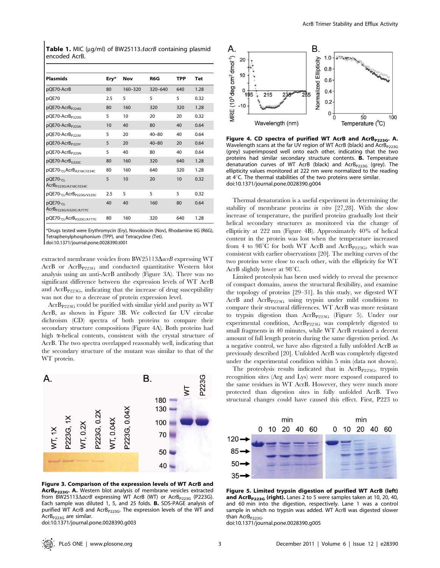Table 1. MIC ( $\mu q/ml$ ) of BW25113 $\Delta$ acrB containing plasmid encoded AcrB.

| <b>Plasmids</b>                                           | Ery* | Nov         | R6G         | TPP | <b>Tet</b> |
|-----------------------------------------------------------|------|-------------|-------------|-----|------------|
| pQE70-AcrB                                                | 80   | $160 - 320$ | $320 - 640$ | 640 | 1.28       |
| pQE70                                                     | 2.5  | 5           | 5           | 5   | 0.32       |
| pQE70-AcrB <sub>P224G</sub>                               | 80   | 160         | 320         | 320 | 1.28       |
| pQE70-AcrB <sub>P223G</sub>                               | 5    | 10          | 20          | 20  | 0.32       |
| pQE70-AcrB <sub>P223A</sub>                               | 10   | 40          | 80          | 40  | 0.64       |
| pQE70-AcrB <sub>P223V</sub>                               | 5    | 20          | $40 - 80$   | 40  | 0.64       |
| pQE70-AcrB <sub>P223Y</sub>                               | 5    | 20          | $40 - 80$   | 20  | 0.64       |
| pQE70-AcrB <sub>P223N</sub>                               | 5    | 40          | 80          | 40  | 0.64       |
| pQE70-AcrB <sub>V225C</sub>                               | 80   | 160         | 320         | 640 | 1.28       |
| pQE70- <sub>CL</sub> AcrB <sub>A216C/I234C</sub>          | 80   | 160         | 640         | 320 | 1.28       |
| $p$ QE70- $c1$<br>AcrB <sub>P223G/A216C/I234C</sub>       | 5    | 10          | 20          | 10  | 0.32       |
| pQE70- <sub>CL</sub> AcrB <sub>P223G/V225C</sub>          | 2.5  | 5           | 5           | 5   | 0.32       |
| pQE70- <sub>CL</sub><br>AcrB <sub>P223G/V225C/A777C</sub> | 40   | 40          | 160         | 80  | 0.64       |
| pQE70- <sub>CL</sub> AcrB <sub>V225C/A777C</sub>          | 80   | 160         | 320         | 640 | 1.28       |

\*Drugs tested were Erythromycin (Ery), Novobiocin (Nov), Rhodamine 6G (R6G), Tetraphenylphosphonium (TPP), and Tetracycline (Tet).

doi:10.1371/journal.pone.0028390.t001

extracted membrane vesicles from BW25113 $\Delta$ acrB expressing WT AcrB or AcrB<sub>P223G</sub> and conducted quantitative Western blot analysis using an anti-AcrB antibody (Figure 3A). There was no significant difference between the expression levels of WT AcrB and  $\text{AcrB}_{P223G}$ , indicating that the increase of drug susceptibility was not due to a decrease of protein expression level.

 $\text{Ar}B_{P223G}$  could be purified with similar yield and purity as WT AcrB, as shown in Figure 3B. We collected far UV circular dichroism (CD) spectra of both proteins to compare their secondary structure compositions (Figure 4A). Both proteins had high  $\alpha$ -helical contents, consistent with the crystal structure of AcrB. The two spectra overlapped reasonably well, indicating that the secondary structure of the mutant was similar to that of the WT protein.



Figure 3. Comparison of the expression levels of WT AcrB and AcrB<sub>P223G</sub>. A. Western blot analysis of membrane vesicles extracted from BW25113 $\triangle$ acrB expressing WT AcrB (WT) or AcrB<sub>P223G</sub> (P223G). Each sample was diluted 1, 5, and 25 folds. B. SDS-PAGE analysis of purified WT AcrB and AcrB $_{P223G}$ . The expression levels of the WT and  $AcrB_{P223G}$  are similar.

doi:10.1371/journal.pone.0028390.g003



Figure 4. CD spectra of purified WT AcrB and  $AcrB_{P223G}$ . A. Wavelength scans at the far UV region of WT AcrB (black) and AcrB<sub>P223G</sub> (grey) superimposed well onto each other, indicating that the two proteins had similar secondary structure contents. B. Temperature denaturation curves of WT AcrB (black) and AcrB<sub>P223G</sub> (grey). The ellipticity values monitored at 222 nm were normalized to the reading at  $4^{\circ}$ C. The thermal stabilities of the two proteins were similar. doi:10.1371/journal.pone.0028390.g004

Thermal denaturation is a useful experiment in determining the stability of membrane proteins in vitro [27,28]. With the slow increase of temperature, the purified proteins gradually lost their helical secondary structures as monitored via the change of ellipticity at 222 nm (Figure 4B). Approximately 40% of helical content in the protein was lost when the temperature increased from 4 to 98 $^{\circ}$ C for both WT AcrB and AcrB<sub>P223G</sub>, which was consistent with earlier observations [20]. The melting curves of the two proteins were close to each other, with the ellipticity for WT AcrB slightly lower at  $98^{\circ}$ C.

Limited proteolysis has been used widely to reveal the presence of compact domains, assess the structural flexibility, and examine the topology of proteins [29–31]. In this study, we digested WT AcrB and AcrBP223G using trypsin under mild conditions to compare their structural differences. WT AcrB was more resistant to trypsin digestion than AcrB<sub>P223G</sub> (Figure 5). Under our experimental condition,  $AcrB_{P223G}$  was completely digested to small fragments in 40 minutes, while WT AcrB retained a decent amount of full length protein during the same digestion period. As a negative control, we have also digested a fully unfolded AcrB as previously described [20]. Unfolded AcrB was completely digested under the experimental condition within 5 min (data not shown).

The proteolysis results indicated that in AcrB $_{P223G}$ , trypsin recognition sites (Arg and Lys) were more exposed compared to the same residues in WT AcrB. However, they were much more protected than digestion sites in fully unfolded AcrB. Two structural changes could have caused this effect. First, P223 to



Figure 5. Limited trypsin digestion of purified WT AcrB (left) and AcrB<sub>P223G</sub> (right). Lanes 2 to 5 were samples taken at 10, 20, 40, and 60 min into the digestion, respectively. Lane 1 was a control sample in which no trypsin was added. WT AcrB was digested slower than AcrB<sub>P223G</sub>.

doi:10.1371/journal.pone.0028390.g005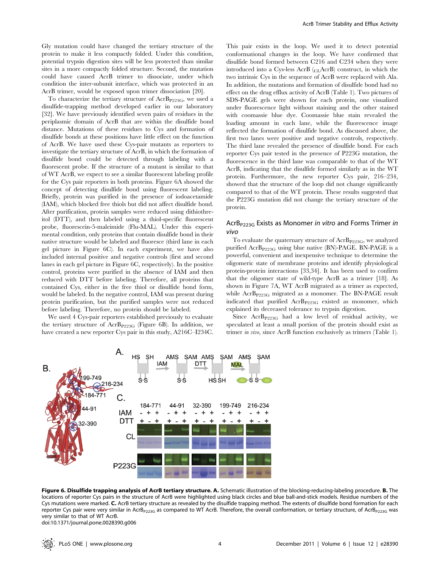Gly mutation could have changed the tertiary structure of the protein to make it less compactly folded. Under this condition, potential trypsin digestion sites will be less protected than similar sites in a more compactly folded structure. Second, the mutation could have caused AcrB trimer to dissociate, under which condition the inter-subunit interface, which was protected in an AcrB trimer, would be exposed upon trimer dissociation [20].

To characterize the tertiary structure of  $AcrB_{P223G}$ , we used a disulfide-trapping method developed earlier in our laboratory [32]. We have previously identified seven pairs of residues in the periplasmic domain of AcrB that are within the disulfide bond distance. Mutations of these residues to Cys and formation of disulfide bonds at these positions have little effect on the function of AcrB. We have used these Cys-pair mutants as reporters to investigate the tertiary structure of AcrB, in which the formation of disulfide bond could be detected through labeling with a fluorescent probe. If the structure of a mutant is similar to that of WT AcrB, we expect to see a similar fluorescent labeling profile for the Cys pair reporters in both proteins. Figure 6A showed the concept of detecting disulfide bond using fluorescent labeling. Briefly, protein was purified in the presence of iodoacetamide (IAM), which blocked free thiols but did not affect disulfide bond. After purification, protein samples were reduced using dithiothreitol (DTT), and then labeled using a thiol-specific fluorescent probe, fluorescein-5-maleimide (Flu-MAL). Under this experimental condition, only proteins that contain disulfide bond in their native structure would be labeled and fluoresce (third lane in each gel picture in Figure 6C). In each experiment, we have also included internal positive and negative controls (first and second lanes in each gel picture in Figure 6C, respectively). In the positive control, proteins were purified in the absence of IAM and then reduced with DTT before labeling. Therefore, all proteins that contained Cys, either in the free thiol or disulfide bond form, would be labeled. In the negative control, IAM was present during protein purification, but the purified samples were not reduced before labeling. Therefore, no protein should be labeled.

We used 4 Cys-pair reporters established previously to evaluate the tertiary structure of  $AcrB_{P223G}$  (Figure 6B). In addition, we have created a new reporter Cys pair in this study, A216C–I234C. This pair exists in the loop. We used it to detect potential conformational changes in the loop. We have confirmed that disulfide bond formed between C216 and C234 when they were introduced into a Cys-less AcrB (CLAcrB) construct, in which the two intrinsic Cys in the sequence of AcrB were replaced with Ala. In addition, the mutations and formation of disulfide bond had no effect on the drug efflux activity of AcrB (Table 1). Two pictures of SDS-PAGE gels were shown for each protein, one visualized under fluorescence light without staining and the other stained with coomassie blue dye. Coomassie blue stain revealed the loading amount in each lane, while the fluorescence image reflected the formation of disulfide bond. As discussed above, the first two lanes were positive and negative controls, respectively. The third lane revealed the presence of disulfide bond. For each reporter Cys pair tested in the presence of P223G mutation, the fluorescence in the third lane was comparable to that of the WT AcrB, indicating that the disulfide formed similarly as in the WT protein. Furthermore, the new reporter Cys pair, 216–234, showed that the structure of the loop did not change significantly compared to that of the WT protein. These results suggested that the P223G mutation did not change the tertiary structure of the protein.

# AcrB<sub>P223G</sub> Exists as Monomer in vitro and Forms Trimer in vivo

To evaluate the quaternary structure of  $AcrB_{P223G}$ , we analyzed purified  $\text{AcrB}_{P223G}$  using blue native (BN)-PAGE. BN-PAGE is a powerful, convenient and inexpensive technique to determine the oligomeric state of membrane proteins and identify physiological protein-protein interactions [33,34]. It has been used to confirm that the oligomer state of wild-type AcrB as a trimer [18]. As shown in Figure 7A, WT AcrB migrated as a trimer as expected, while AcrB<sub>P223G</sub> migrated as a monomer. The BN-PAGE result indicated that purified AcrB<sub>P223G</sub> existed as monomer, which explained its decreased tolerance to trypsin digestion.

Since AcrB<sub>P223G</sub> had a low level of residual activity, we speculated at least a small portion of the protein should exist as trimer in vivo, since AcrB function exclusively as trimers (Table 1).



Figure 6. Disulfide trapping analysis of AcrB tertiary structure. A. Schematic illustration of the blocking-reducing-labeling procedure. B. The locations of reporter Cys pairs in the structure of AcrB were highlighted using black circles and blue ball-and-stick models. Residue numbers of the Cys mutations were marked. C. AcrB tertiary structure as revealed by the disulfide trapping method. The extents of disulfide bond formation for each reporter Cys pair were very similar in AcrB<sub>P223G</sub> as compared to WT AcrB. Therefore, the overall conformation, or tertiary structure, of AcrB<sub>P223G</sub> was very similar to that of WT AcrB.

doi:10.1371/journal.pone.0028390.g006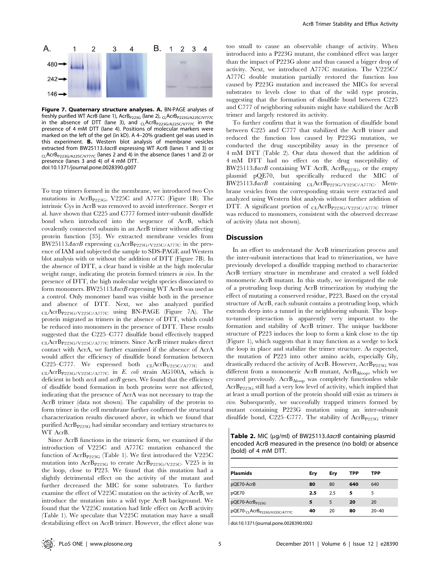

Figure 7. Quaternary structure analyses. A. BN-PAGE analyses of freshly purified WT AcrB (lane 1), AcrB<sub>P223G</sub> (lane 2), <sub>CL</sub>AcrB<sub>P223G/A225C/V777C</sub> in the absence of DTT (lane 3), and  $C_1$ AcrB<sub>P223G/A225C/V777C</sub> in the presence of 4 mM DTT (lane 4). Positions of molecular markers were marked on the left of the gel (in kD). A 4–20% gradient gel was used in this experiment. B. Western blot analysis of membrane vesicles extracted from BW25113*AacrB* expressing WT AcrB (lanes 1 and 3) or CLAcrBP223G/A225C/V777C (lanes 2 and 4) in the absence (lanes 1 and 2) or presence (lanes 3 and 4) of 4 mM DTT. doi:10.1371/journal.pone.0028390.g007

To trap trimers formed in the membrane, we introduced two Cys mutations in AcrB<sub>P223G</sub>, V225C and A777C (Figure 1B). The intrinsic Cys in AcrB was removed to avoid interference. Seeger et al. have shown that C225 and C777 formed inter-subunit disulfide bond when introduced into the sequence of AcrB, which covalently connected subunits in an AcrB trimer without affecting protein function [35]. We extracted membrane vesicles from BW25113 $\triangle$ acrB expressing CLAcrB<sub>P223G/V225C/A777C</sub> in the presence of IAM and subjected the sample to SDS-PAGE and Western blot analysis with or without the addition of DTT (Figure 7B). In the absence of DTT, a clear band is visible at the high molecular weight range, indicating the protein formed trimers in vivo. In the presence of DTT, the high molecular weight species dissociated to form monomers. BW25113 $\triangle$ acrB expressing WT AcrB was used as a control. Only monomer band was visible both in the presence and absence of DTT. Next, we also analyzed purified  $CL, \text{AcrB}_{P223G/V225C/A777C}$  using BN-PAGE (Figure 7A). The protein migrated as trimers in the absence of DTT, which could be reduced into monomers in the presence of DTT. These results suggested that the C225–C777 disulfide bond effectively trapped CLAcrBP223G/V225C/A777C trimers. Since AcrB trimer makes direct contact with AcrA, we further examined if the absence of AcrA would affect the efficiency of disulfide bond formation between C225–C777. We expressed both  $CLAcrB_{V225C/A777C}$  and  $CL, \text{ActB}_{P223G/V225C/A777C}$  in E. coli strain AG100A, which is deficient in both *acrA* and *acrB* genes. We found that the efficiency of disulfide bond formation in both proteins were not affected, indicating that the presence of AcrA was not necessary to trap the AcrB trimer (data not shown). The capability of the protein to form trimer in the cell membrane further confirmed the structural characterization results discussed above, in which we found that purified AcrB<sub>P223G</sub> had similar secondary and tertiary structures to WT AcrB.

Since AcrB functions in the trimeric form, we examined if the introduction of V225C and A777C mutation enhanced the function of AcrB<sub>P223G</sub> (Table 1). We first introduced the V225C mutation into AcrB<sub>P223G</sub> to create AcrB<sub>P223G</sub>/V<sub>225</sub>C. V225 is in the loop, close to P223. We found that this mutation had a slightly detrimental effect on the activity of the mutant and further decreased the MIC for some substrates. To further examine the effect of V225C mutation on the activity of AcrB, we introduce the mutation into a wild type AcrB background. We found that the V225C mutation had little effect on AcrB activity (Table 1). We speculate that V225C mutation may have a small destabilizing effect on AcrB trimer. However, the effect alone was too small to cause an observable change of activity. When introduced into a P223G mutant, the combined effect was larger than the impact of P223G alone and thus caused a bigger drop of activity. Next, we introduced A777C mutation. The V225C/ A777C double mutation partially restored the function loss caused by P223G mutation and increased the MICs for several substrates to levels close to that of the wild type protein, suggesting that the formation of disulfide bond between C225 and C777 of neighboring subunits might have stabilized the AcrB trimer and largely restored its activity.

To further confirm that it was the formation of disulfide bond between C225 and C777 that stabilized the AcrB trimer and reduced the function loss caused by P223G mutation, we conducted the drug susceptibility assay in the presence of 4 mM DTT (Table 2). Our data showed that the addition of 4 mM DTT had no effect on the drug susceptibility of BW25113 $\triangle$ acrB containing WT AcrB, AcrB<sub>P223G</sub>, or the empty plasmid pQE70, but specifically reduced the MIC of BW25113 $\triangle$ acrB containing CLAcrB<sub>P223G/V225C/A777C</sub>. Membrane vesicles from the corresponding strain were extracted and analyzed using Western blot analysis without further addition of DTT. A significant portion of CLAcrB<sub>P223G/V225C/A777C</sub> trimer was reduced to monomers, consistent with the observed decrease of activity (data not shown).

#### **Discussion**

In an effort to understand the AcrB trimerization process and the inter-subunit interactions that lead to trimerization, we have previously developed a disulfide trapping method to characterize AcrB tertiary structure in membrane and created a well folded monomeric AcrB mutant. In this study, we investigated the role of a protruding loop during AcrB trimerization by studying the effect of mutating a conserved residue, P223. Based on the crystal structure of AcrB, each subunit contains a protruding loop, which extends deep into a tunnel in the neighboring subunit. The loopto-tunnel interaction is apparently very important to the formation and stability of AcrB trimer. The unique backbone structure of P223 induces the loop to form a kink close to the tip (Figure 1), which suggests that it may function as a wedge to lock the loop in place and stabilize the trimer structure. As expected, the mutation of P223 into other amino acids, especially Gly, drastically reduced the activity of AcrB. However, AcrB<sub>P223G</sub> was different from a monomeric AcrB mutant,  $AcrB_{\text{Aloop}}$ , which we created previously.  $\mathrm{AcrB}_{\Delta\mathrm{loop}}$  was completely functionless while AcrBP223G still had a very low level of activity, which implied that at least a small portion of the protein should still exist as trimers in vivo. Subsequently, we successfully trapped trimers formed by mutant containing P223G mutation using an inter-subunit disulfide bond, C225–C777. The stability of  $\text{AcrB}_{P223G}$  trimer

Table 2. MIC ( $\mu$ g/ml) of BW25113 $\Delta$ acrB containing plasmid encoded AcrB measured in the presence (no bold) or absence (bold) of 4 mM DTT.

| <b>Plasmids</b>                                        | Ery | Ery | TPP | TPP       |
|--------------------------------------------------------|-----|-----|-----|-----------|
| pQE70-AcrB                                             | 80  | 80  | 640 | 640       |
| pQE70                                                  | 2.5 | 2.5 | 5   |           |
| pQE70-AcrB <sub>P223G</sub>                            | 5   |     | 20  | 20        |
| pQE70- <sub>CL</sub> AcrB <sub>P223G/V225C/A777C</sub> | 40  | 20  | 80  | $20 - 40$ |

doi:10.1371/journal.pone.0028390.t002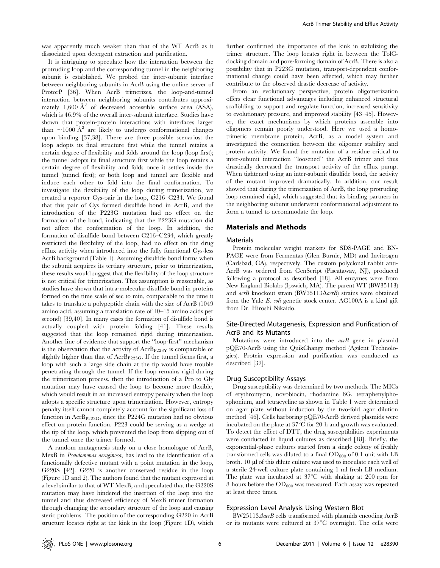was apparently much weaker than that of the WT AcrB as it dissociated upon detergent extraction and purification.

It is intriguing to speculate how the interaction between the protruding loop and the corresponding tunnel in the neighboring subunit is established. We probed the inter-subunit interface between neighboring subunits in AcrB using the online server of ProtorP [36]. When AcrB trimerizes, the loop-and-tunnel interaction between neighboring subunits contributes approximately 1,600  $\AA^2$  of decreased accessible surface area (ASA), which is 46.9% of the overall inter-subunit interface. Studies have shown that protein-protein interactions with interfaces larger than  $\sim$ 1000 Å<sup>2</sup> are likely to undergo conformational changes upon binding [37,38]. There are three possible scenarios: the loop adopts its final structure first while the tunnel retains a certain degree of flexibility and folds around the loop (loop first); the tunnel adopts its final structure first while the loop retains a certain degree of flexibility and folds once it settles inside the tunnel (tunnel first); or both loop and tunnel are flexible and induce each other to fold into the final conformation. To investigate the flexibility of the loop during trimerization, we created a reporter Cys-pair in the loop, C216–C234. We found that this pair of Cys formed disulfide bond in AcrB, and the introduction of the P223G mutation had no effect on the formation of the bond, indicating that the P223G mutation did not affect the conformation of the loop. In addition, the formation of disulfide bond between C216–C234, which greatly restricted the flexibility of the loop, had no effect on the drug efflux activity when introduced into the fully functional Cys-less AcrB background (Table 1). Assuming disulfide bond forms when the subunit acquires its tertiary structure, prior to trimerization, these results would suggest that the flexibility of the loop structure is not critical for trimerization. This assumption is reasonable, as studies have shown that intra-molecular disulfide bond in proteins formed on the time scale of sec to min, comparable to the time it takes to translate a polypeptide chain with the size of AcrB (1049 amino acid, assuming a translation rate of 10–15 amino acids per second) [39,40]. In many cases the formation of disulfide bond is actually coupled with protein folding [41]. These results suggested that the loop remained rigid during trimerization. Another line of evidence that support the ''loop-first'' mechanism is the observation that the activity of  $\text{AcrB}_{P223Y}$  is comparable or slightly higher than that of  $AcrB_{P223G}$ . If the tunnel forms first, a loop with such a large side chain at the tip would have trouble penetrating through the tunnel. If the loop remains rigid during the trimerization process, then the introduction of a Pro to Gly mutation may have caused the loop to become more flexible, which would result in an increased entropy penalty when the loop adopts a specific structure upon trimerization. However, entropy penalty itself cannot completely account for the significant loss of function in  $\text{AcrB}_{P223G}$ , since the P224G mutation had no obvious effect on protein function. P223 could be serving as a wedge at the tip of the loop, which prevented the loop from slipping out of the tunnel once the trimer formed.

A random mutagenesis study on a close homologue of AcrB, MexB in Pseudomonas aeruginosa, has lead to the identification of a functionally defective mutant with a point mutation in the loop, G220S [42]. G220 is another conserved residue in the loop (Figure 1D and 2). The authors found that the mutant expressed at a level similar to that of WT MexB, and speculated that the G220S mutation may have hindered the insertion of the loop into the tunnel and thus decreased efficiency of MexB trimer formation through changing the secondary structure of the loop and causing steric problems. The position of the corresponding G220 in AcrB structure locates right at the kink in the loop (Figure 1D), which

further confirmed the importance of the kink in stabilizing the trimer structure. The loop locates right in between the TolCdocking domain and pore-forming domain of AcrB. There is also a possibility that in P223G mutation, transport-dependent conformational change could have been affected, which may further contribute to the observed drastic decrease of activity.

From an evolutionary perspective, protein oligomerization offers clear functional advantages including enhanced structural scaffolding to support and regulate function, increased sensitivity to evolutionary pressure, and improved stability [43–45]. However, the exact mechanisms by which proteins assemble into oligomers remain poorly understood. Here we used a homotrimeric membrane protein, AcrB, as a model system and investigated the connection between the oligomer stability and protein activity. We found the mutation of a residue critical to inter-subunit interaction ''loosened'' the AcrB trimer and thus drastically decreased the transport activity of the efflux pump. When tightened using an inter-subunit disulfide bond, the activity of the mutant improved dramatically. In addition, our result showed that during the trimerization of AcrB, the long protruding loop remained rigid, which suggested that its binding partners in the neighboring subunit underwent conformational adjustment to form a tunnel to accommodate the loop.

## Materials and Methods

#### Materials

Protein molecular weight markers for SDS-PAGE and BN-PAGE were from Fermentas (Glen Burnie, MD) and Invitrogen (Carlsbad, CA), respectively. The custom polyclonal rabbit anti-AcrB was ordered from GenScript (Piscataway, NJ), produced following a protocol as described [18]. All enzymes were from New England Biolabs (Ipswich, MA). The parent WT (BW35113) and  $acrB$  knockout strain (BW35113 $\Delta arrB$ ) strains were obtained from the Yale E. coli genetic stock center. AG100A is a kind gift from Dr. Hiroshi Nikaido.

# Site-Directed Mutagenesis, Expression and Purification of AcrB and its Mutants

Mutations were introduced into the *acrB* gene in plasmid pQE70-AcrB using the QuikChange method (Agilent Technologies). Protein expression and purification was conducted as described [32].

#### Drug Susceptibility Assays

Drug susceptibility was determined by two methods. The MICs of erythromycin, novobiocin, rhodamine 6G, tetraphenylphosphonium, and tetracycline as shown in Table 1 were determined on agar plate without induction by the two-fold agar dilution method [46]. Cells harboring pQE70-AcrB derived plasmids were incubated on the plate at  $37^{\circ}$ C for 20 h and growth was evaluated. To detect the effect of DTT, the drug susceptibilities experiments were conducted in liquid cultures as described [18]. Briefly, the exponential-phase cultures started from a single colony of freshly transformed cells was diluted to a final  $OD_{600}$  of 0.1 unit with LB broth. 10 µl of this dilute culture was used to inoculate each well of a sterile 24-well culture plate containing 1 ml fresh LB medium. The plate was incubated at  $37^{\circ}$ C with shaking at 200 rpm for 8 hours before the  $OD_{600}$  was measured. Each assay was repeated at least three times.

#### Expression Level Analysis Using Western Blot

 $BW25113A \alpha$ crB cells transformed with plasmids encoding AcrB or its mutants were cultured at  $37^{\circ}$ C overnight. The cells were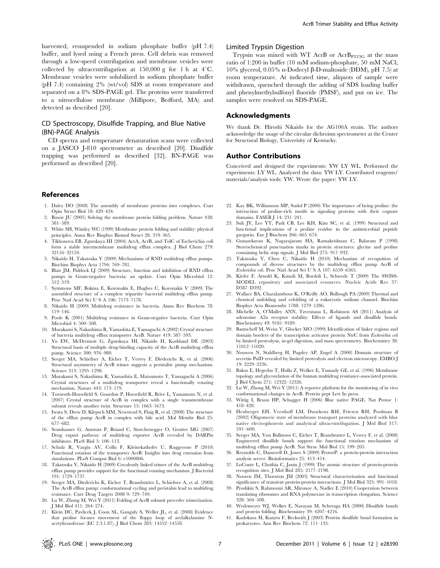harvested, resuspended in sodium phosphate buffer (pH 7.4) buffer, and lysed using a French press. Cell debris was removed through a low-speed centrifugation and membrane vesicles were collected by ultracentrifugation at  $150,000$  g for 1 h at  $4^{\circ}$ C. Membrane vesicles were solubilized in sodium phosphate buffer (pH 7.4) containing 2% (wt/vol) SDS at room temperature and separated on a 8% SDS-PAGE gel. The proteins were transferred to a nitrocellulose membrane (Millipore, Bedford, MA) and detected as described [20].

# CD Spectroscopy, Disulfide Trapping, and Blue Native (BN)-PAGE Analysis

CD spectra and temperature denaturation scans were collected on a JASCO J-810 spectrometer as described [20]. Disulfide trapping was performed as described [32]. BN-PAGE was performed as described [20].

## References

- 1. Daley DO (2008) The assembly of membrane proteins into complexes. Curr Opin Struct Biol 18: 420–424.
- 2. Bowie JU (2005) Solving the membrane protein folding problem. Nature 438: 581–589.
- 3. White SH, Wimley WC (1999) Membrane protein folding and stability: physical principles. Annu Rev Biophys Biomol Struct 28: 319–365.
- 4. Tikhonova EB, Zgurskaya HI (2004) AcrA, AcrB, and TolC of Escherichia coli form a stable intermembrane multidrug efflux complex. J Biol Chem 279: 32116–32124.
- 5. Nikaido H, Takatsuka Y (2009) Mechanisms of RND multidrug efflux pumps. Biochim Biophys Acta 1794: 769–781.
- 6. Blair JM, Piddock LJ (2009) Structure, function and inhibition of RND efflux pumps in Gram-negative bacteria: an update. Curr Opin Microbiol 12: 512–519.
- 7. Symmons MF, Bokma E, Koronakis E, Hughes C, Koronakis V (2009) The assembled structure of a complete tripartite bacterial multidrug efflux pump. Proc Natl Acad Sci U S A 106: 7173–7178.
- 8. Nikaido H (2009) Multidrug resistance in bacteria. Annu Rev Biochem 78: 119–146.
- 9. Poole K (2001) Multidrug resistance in Gram-negative bacteria. Curr Opin Microbiol 4: 500–508.
- 10. Murakami S, Nakashima R, Yamashita E, Yamaguchi A (2002) Crystal structure of bacteria multidrug efflux transporter AcrB. Nature 419: 587–593.
- 11. Yu EW, McDermott G, Zgurskaya HI, Nikaido H, Koshland DE (2003) Structural basis of multiple drug-binding capacity of the AcrB multidrug efflux pump. Science 300: 976–980.
- 12. Seeger MA, Schiefner A, Eicher T, Verrey F, Diederichs K, et al. (2006) Structural asymmetry of AcrB trimer suggests a peristaltic pump mechanism. Science 313: 1295–1298.
- 13. Murakami S, Nakashima R, Yamashita E, Matsumoto T, Yamaguchi A (2006) Crystal structures of a multidrug transporter reveal a functionally rotating mechanism. Nature 443: 173–179.
- 14. Tornroth-Horsefield S, Gourdon P, Horsefield R, Brive L, Yamamoto N, et al. (2007) Crystal structure of AcrB in complex with a single transmembrane subunit reveals another twist. Structure 15: 1663–1673.
- 15. Iwata S, Drew D, Klepsch MM, Newstead S, Flaig R, et al. (2008) The structure of the efflux pump AcrB in complex with bile acid. Mol Membr Biol 25: 677–682.
- 16. Sennhauser G, Amstutz P, Briand C, Storchenegger O, Grutter MG (2007) Drug export pathway of multidrug exporter AcrB revealed by DARPin inhibitors. PLoS Biol 5: 106–113.
- 17. Schulz R, Vargiu AV, Collu F, Kleinekathofer U, Ruggerone P (2010) Functional rotation of the transporter AcrB: Insights into drug extrusion from simulations. PLoS Comput Biol 6: e1000806.
- 18. Takatsuka Y, Nikaido H (2009) Covalently linked trimer of the AcrB multidrug efflux pump provides support for the functional rotating mechanism. J Bacteriol 191: 1729–1737.
- 19. Seeger MA, Diederichs K, Eicher T, Brandstätter L, Schiefner A, et al. (2008) The AcrB efflux pump: conformational cycling and peristalsis lead to multidrug resistance. Curr Drug Targets 2008 9: 729–749.
- 20. Lu W, Zhong M, Wei Y (2011) Folding of AcrB subunit precedes trimerization. J Mol Biol 411: 264–274.
- 21. Klein DC, Pavlicek J, Coon SL, Ganguly S, Weller JL, et al. (2008) Evidence that proline focuses movement of the floppy loop of arylalkylamine Nacetyltransferase (EC 2.3.1.87). J Biol Chem 283: 14552–14558.

# Limited Trypsin Digestion

Trypsin was mixed with WT AcrB or AcrB<sub>P223G</sub> at the mass ratio of 1:200 in buffer (10 mM sodium-phosphate, 50 mM NaCl, 10% glycerol, 0.05% n-Dodecyl b-D-maltoside (DDM), pH 7.5) at room temperature. At indicated time, aliquots of sample were withdrawn, quenched through the adding of SDS loading buffer and phenylmethylsulfonyl fluoride (PMSF), and put on ice. The samples were resolved on SDS-PAGE.

#### Acknowledgments

We thank Dr. Hiroshi Nikaido for the AG100A strain. The authors acknowledge the usage of the circular dichroism spectrometer at the Center for Structural Biology, Univerisity of Kentucky.

#### Author Contributions

Conceived and designed the experiments: YW LY WL. Performed the experiments: LY WL. Analyzed the data: YW LY. Contributed reagents/ materials/analysis tools: YW. Wrote the paper: YW LY.

- 22. Kay BK, Williamson MP, Sudol P (2000) The importance of being proline: the interaction of proline-rich motifs in signaling proteins with their cognate domains. FASEB J 14: 231–241.
- 23. Suh JY, Lee YT, Park CB, Lee KH, Kim SC, et al. (1999) Structural and functional implications of a proline residue in the antimicrobial peptide gaegurin. Eur J Biochem 266: 665–674.
- 24. Gunasekaran K, Nagarajaram HA, Ramakrishnan C, Balaram P (1998) Stereochemical punctuation marks in protein structures: glycine and proline containing helix stop signals. J Mol Biol 275: 917–932.
- 25. Takatsuka Y, Chen C, Nikaido H (2010) Mechanism of recognition of compounds of diverse structures by the multidrug efflux pump AcrB of Escherichia coli. Proc Natl Acad Sci U S A 107: 6559–6565.
- 26. Kiefer F, Arnold K, Künzli M, Bordoli L, Schwede T (2009) The SWISS-MODEL repository and associated resources. Nucleic Acids Res 37: D387–D392.
- 27. Wallace BA, Charalambous K, O'Reilly AO, Bullough PA (2009) Thermal and chemical unfolding and refolding of a eukaryotic sodium channel. Biochim Biophys Acta Biomembr 1788: 1279–1286.
- 28. Michelle A, O'Malley ANN, Tzventana L, Robinson AS (2011) Analysis of adenosine A2a receptor stability: Effects of ligands and disulfide bonds. Biochemistry 49: 9181–9189.
- 29. Bantscheff M, Weiss V, Glocker MO (1999) Identification of linker regions and domain borders of the transcription activator protein NtrC from Escherichia coli by limited proteolysis, in-gel digestion, and mass spectrometry. Biochemistry 38: 11012–11020.
- 30. Nouwen N, Stahlberg H, Pugsley AP, Engel A (2000) Domain structure of secretin PulD revealed by limited proteolysis and electron microscopy. EMBO J 19: 2229–2236.
- 31. Bakos E, Hegedus T, Hollo Z, Welker E, Tusnady GE, et al. (1996) Membrane topology and glycosylation of the human multidrug resistance-associated protein. J Biol Chem 271: 12322–12326.
- 32. Lu W, Zhong M, Wei Y (2011) A reporter platform for the monitoring of in vivo conformational changes in AcrB. Protein pept Lett In press.
- 33. Wittig I, Braun HP, Schagger H (2006) Blue native PAGE. Nat Protoc 1: 418–428.
- 34. Heuberger EH, Veenhoff LM, Duurkens RH, Friesen RH, Poolman B (2002) Oligomeric state of membrane transport proteins analyzed with blue native electrophoresis and analytical ultracentrifugation. J Mol Biol 317: 591–600.
- 35. Seeger MA, Von Ballmoos C, Eicher T, Brandstatter L, Verrey F, et al. (2008) Engineered disulfide bonds support the functional rotation mechanism of multidrug efflux pump AcrB. Nat Struc Mol Biol 15: 199–205.
- 36. Reynolds C, Damerell D, Jones S (2009) ProtorP: a protein-protein interaction analysis server. Bioinformatics 25: 413–414.
- 37. LoConte L, Chothia C, Janin J (1999) The atomic structure of protein-protein recognition sites. J Mol Biol 285: 2177–2198.
- 38. Nooren IM, Thornton JM (2003) Structural characterisation and functional significance of transient protein-protein interactions. J Mol Biol 325: 991–1018.
- 39. Proshkin S, Rahmouni AR, Mironov A, Nudler E (2010) Cooperation between translating ribosomes and RNA polymerase in transcription elongation. Science 328: 504–508.
- 40. Wedemeyer WJ, Welker E, Narayan M, Scheraga HA (2000) Disulfide bonds and protein folding. Biochemistry 39: 4207–4216.
- 41. Kadokura H, Katzen F, Beckwith J (2003) Protein disulfide bond formation in prokaryotes. Ann Rev Biochem 72: 111–135.